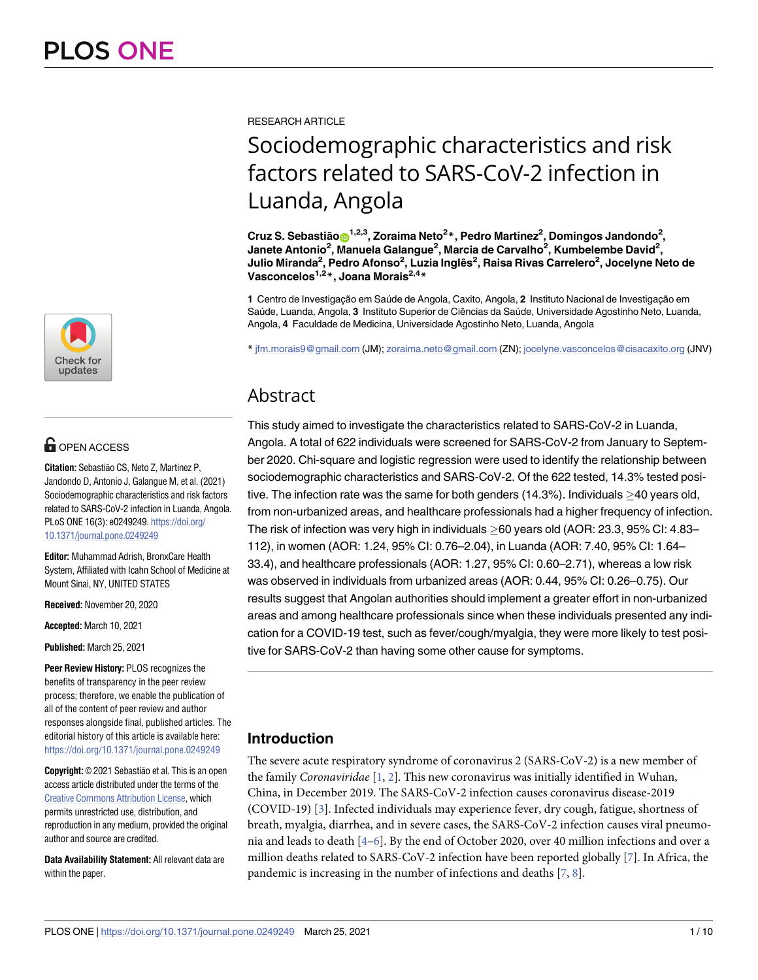

# $\blacksquare$  OPEN ACCESS

**Citation:** Sebastião CS, Neto Z, Martinez P, Jandondo D, Antonio J, Galangue M, et al. (2021) Sociodemographic characteristics and risk factors related to SARS-CoV-2 infection in Luanda, Angola. PLoS ONE 16(3): e0249249. [https://doi.org/](https://doi.org/10.1371/journal.pone.0249249) [10.1371/journal.pone.0249249](https://doi.org/10.1371/journal.pone.0249249)

**Editor:** Muhammad Adrish, BronxCare Health System, Affiliated with Icahn School of Medicine at Mount Sinai, NY, UNITED STATES

**Received:** November 20, 2020

**Accepted:** March 10, 2021

**Published:** March 25, 2021

**Peer Review History:** PLOS recognizes the benefits of transparency in the peer review process; therefore, we enable the publication of all of the content of peer review and author responses alongside final, published articles. The editorial history of this article is available here: <https://doi.org/10.1371/journal.pone.0249249>

**Copyright:** © 2021 Sebastião et al. This is an open access article distributed under the terms of the Creative Commons [Attribution](http://creativecommons.org/licenses/by/4.0/) License, which permits unrestricted use, distribution, and reproduction in any medium, provided the original author and source are credited.

**Data Availability Statement:** All relevant data are within the paper.

<span id="page-0-0"></span>RESEARCH ARTICLE

# Sociodemographic characteristics and risk factors related to SARS-CoV-2 infection in Luanda, Angola

 $C$ ruz S. Sebastião $\mathbf{O}^{1,2,3}$ , Zoraima Neto<sup>2</sup>\*, Pedro Martinez<sup>2</sup>, Domingos Jandondo<sup>2</sup>, **Janete Antonio2 , Manuela Galangue2 , Marcia de Carvalho2 , Kumbelembe David2 , Julio Miranda2 , Pedro Afonso2 , Luzia Inglês2 , Raisa Rivas Carrelero2 , Jocelyne Neto de Vasconcelos1,2\*, Joana Morais2,4\***

1 Centro de Investigação em Saúde de Angola, Caxito, Angola, 2 Instituto Nacional de Investigação em Saúde, Luanda, Angola, 3 Instituto Superior de Ciências da Saúde, Universidade Agostinho Neto, Luanda, Angola, **4** Faculdade de Medicina, Universidade Agostinho Neto, Luanda, Angola

\* jfm.morais9@gmail.com (JM); zoraima.neto@gmail.com (ZN); jocelyne.vasconcelos@cisacaxito.org (JNV)

# Abstract

This study aimed to investigate the characteristics related to SARS-CoV-2 in Luanda, Angola. A total of 622 individuals were screened for SARS-CoV-2 from January to September 2020. Chi-square and logistic regression were used to identify the relationship between sociodemographic characteristics and SARS-CoV-2. Of the 622 tested, 14.3% tested positive. The infection rate was the same for both genders (14.3%). Individuals  $\geq$ 40 years old, from non-urbanized areas, and healthcare professionals had a higher frequency of infection. The risk of infection was very high in individuals  $\geq$  60 years old (AOR: 23.3, 95% CI: 4.83– 112), in women (AOR: 1.24, 95% CI: 0.76–2.04), in Luanda (AOR: 7.40, 95% CI: 1.64– 33.4), and healthcare professionals (AOR: 1.27, 95% CI: 0.60–2.71), whereas a low risk was observed in individuals from urbanized areas (AOR: 0.44, 95% CI: 0.26–0.75). Our results suggest that Angolan authorities should implement a greater effort in non-urbanized areas and among healthcare professionals since when these individuals presented any indication for a COVID-19 test, such as fever/cough/myalgia, they were more likely to test positive for SARS-CoV-2 than having some other cause for symptoms.

# **Introduction**

The severe acute respiratory syndrome of coronavirus 2 (SARS-CoV-2) is a new member of the family *Coronaviridae* [\[1](#page-8-0), [2](#page-8-0)]. This new coronavirus was initially identified in Wuhan, China, in December 2019. The SARS-CoV-2 infection causes coronavirus disease-2019 (COVID-19) [\[3\]](#page-8-0). Infected individuals may experience fever, dry cough, fatigue, shortness of breath, myalgia, diarrhea, and in severe cases, the SARS-CoV-2 infection causes viral pneumonia and leads to death [\[4–6\]](#page-8-0). By the end of October 2020, over 40 million infections and over a million deaths related to SARS-CoV-2 infection have been reported globally [\[7\]](#page-8-0). In Africa, the pandemic is increasing in the number of infections and deaths  $[7, 8]$  $[7, 8]$  $[7, 8]$  $[7, 8]$ .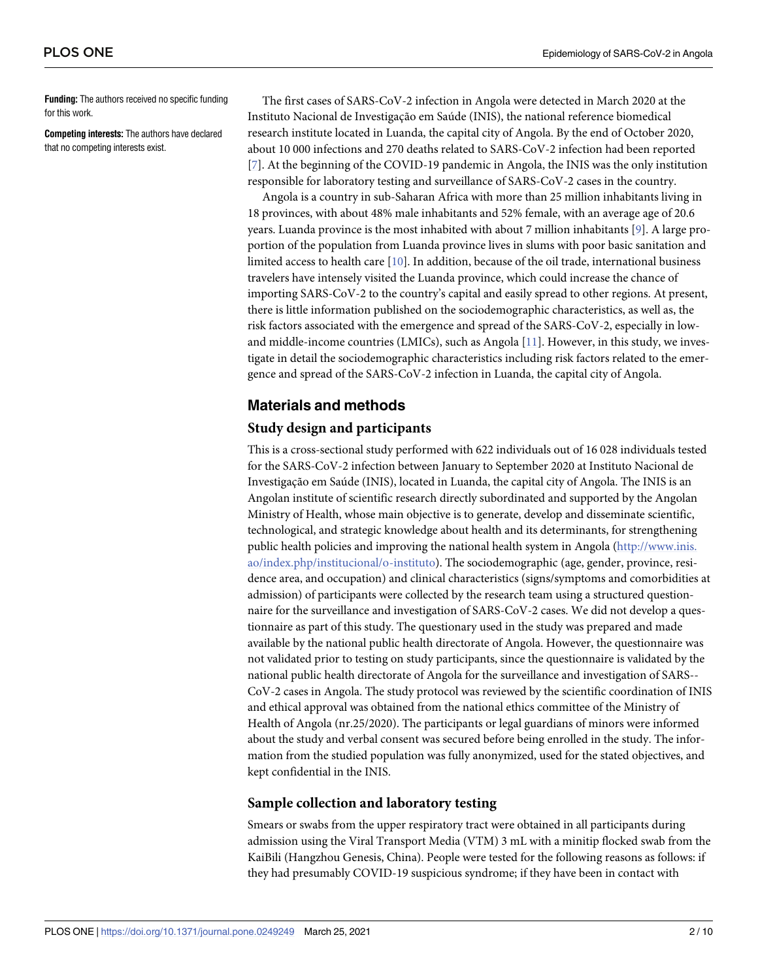<span id="page-1-0"></span>**Funding:** The authors received no specific funding for this work.

**Competing interests:** The authors have declared that no competing interests exist.

The first cases of SARS-CoV-2 infection in Angola were detected in March 2020 at the Instituto Nacional de Investigação em Saúde (INIS), the national reference biomedical research institute located in Luanda, the capital city of Angola. By the end of October 2020, about 10 000 infections and 270 deaths related to SARS-CoV-2 infection had been reported [\[7](#page-8-0)]. At the beginning of the COVID-19 pandemic in Angola, the INIS was the only institution responsible for laboratory testing and surveillance of SARS-CoV-2 cases in the country.

Angola is a country in sub-Saharan Africa with more than 25 million inhabitants living in 18 provinces, with about 48% male inhabitants and 52% female, with an average age of 20.6 years. Luanda province is the most inhabited with about 7 million inhabitants [[9](#page-9-0)]. A large proportion of the population from Luanda province lives in slums with poor basic sanitation and limited access to health care [\[10\]](#page-9-0). In addition, because of the oil trade, international business travelers have intensely visited the Luanda province, which could increase the chance of importing SARS-CoV-2 to the country's capital and easily spread to other regions. At present, there is little information published on the sociodemographic characteristics, as well as, the risk factors associated with the emergence and spread of the SARS-CoV-2, especially in lowand middle-income countries (LMICs), such as Angola [[11](#page-9-0)]. However, in this study, we investigate in detail the sociodemographic characteristics including risk factors related to the emergence and spread of the SARS-CoV-2 infection in Luanda, the capital city of Angola.

# **Materials and methods**

## **Study design and participants**

This is a cross-sectional study performed with 622 individuals out of 16 028 individuals tested for the SARS-CoV-2 infection between January to September 2020 at Instituto Nacional de Investigação em Saúde (INIS), located in Luanda, the capital city of Angola. The INIS is an Angolan institute of scientific research directly subordinated and supported by the Angolan Ministry of Health, whose main objective is to generate, develop and disseminate scientific, technological, and strategic knowledge about health and its determinants, for strengthening public health policies and improving the national health system in Angola ([http://www.inis.](http://www.inis.ao/index.php/institucional/o-instituto) [ao/index.php/institucional/o-instituto\)](http://www.inis.ao/index.php/institucional/o-instituto). The sociodemographic (age, gender, province, residence area, and occupation) and clinical characteristics (signs/symptoms and comorbidities at admission) of participants were collected by the research team using a structured questionnaire for the surveillance and investigation of SARS-CoV-2 cases. We did not develop a questionnaire as part of this study. The questionary used in the study was prepared and made available by the national public health directorate of Angola. However, the questionnaire was not validated prior to testing on study participants, since the questionnaire is validated by the national public health directorate of Angola for the surveillance and investigation of SARS-- CoV-2 cases in Angola. The study protocol was reviewed by the scientific coordination of INIS and ethical approval was obtained from the national ethics committee of the Ministry of Health of Angola (nr.25/2020). The participants or legal guardians of minors were informed about the study and verbal consent was secured before being enrolled in the study. The information from the studied population was fully anonymized, used for the stated objectives, and kept confidential in the INIS.

### **Sample collection and laboratory testing**

Smears or swabs from the upper respiratory tract were obtained in all participants during admission using the Viral Transport Media (VTM) 3 mL with a minitip flocked swab from the KaiBili (Hangzhou Genesis, China). People were tested for the following reasons as follows: if they had presumably COVID-19 suspicious syndrome; if they have been in contact with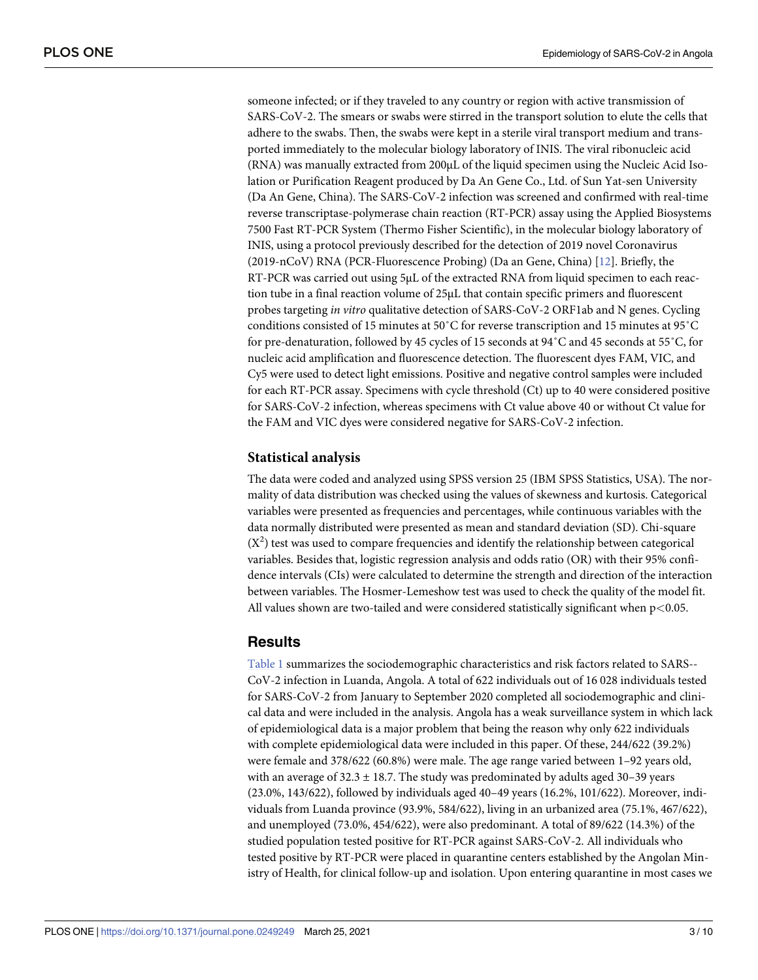<span id="page-2-0"></span>someone infected; or if they traveled to any country or region with active transmission of SARS-CoV-2. The smears or swabs were stirred in the transport solution to elute the cells that adhere to the swabs. Then, the swabs were kept in a sterile viral transport medium and transported immediately to the molecular biology laboratory of INIS. The viral ribonucleic acid (RNA) was manually extracted from 200μL of the liquid specimen using the Nucleic Acid Isolation or Purification Reagent produced by Da An Gene Co., Ltd. of Sun Yat-sen University (Da An Gene, China). The SARS-CoV-2 infection was screened and confirmed with real-time reverse transcriptase-polymerase chain reaction (RT-PCR) assay using the Applied Biosystems 7500 Fast RT-PCR System (Thermo Fisher Scientific), in the molecular biology laboratory of INIS, using a protocol previously described for the detection of 2019 novel Coronavirus (2019-nCoV) RNA (PCR-Fluorescence Probing) (Da an Gene, China) [\[12\]](#page-9-0). Briefly, the RT-PCR was carried out using 5μL of the extracted RNA from liquid specimen to each reaction tube in a final reaction volume of 25μL that contain specific primers and fluorescent probes targeting *in vitro* qualitative detection of SARS-CoV-2 ORF1ab and N genes. Cycling conditions consisted of 15 minutes at 50˚C for reverse transcription and 15 minutes at 95˚C for pre-denaturation, followed by 45 cycles of 15 seconds at 94˚C and 45 seconds at 55˚C, for nucleic acid amplification and fluorescence detection. The fluorescent dyes FAM, VIC, and Cy5 were used to detect light emissions. Positive and negative control samples were included for each RT-PCR assay. Specimens with cycle threshold (Ct) up to 40 were considered positive for SARS-CoV-2 infection, whereas specimens with Ct value above 40 or without Ct value for the FAM and VIC dyes were considered negative for SARS-CoV-2 infection.

#### **Statistical analysis**

The data were coded and analyzed using SPSS version 25 (IBM SPSS Statistics, USA). The normality of data distribution was checked using the values of skewness and kurtosis. Categorical variables were presented as frequencies and percentages, while continuous variables with the data normally distributed were presented as mean and standard deviation (SD). Chi-square  $(X<sup>2</sup>)$  test was used to compare frequencies and identify the relationship between categorical variables. Besides that, logistic regression analysis and odds ratio (OR) with their 95% confidence intervals (CIs) were calculated to determine the strength and direction of the interaction between variables. The Hosmer-Lemeshow test was used to check the quality of the model fit. All values shown are two-tailed and were considered statistically significant when p*<*0.05.

# **Results**

[Table](#page-3-0) 1 summarizes the sociodemographic characteristics and risk factors related to SARS-- CoV-2 infection in Luanda, Angola. A total of 622 individuals out of 16 028 individuals tested for SARS-CoV-2 from January to September 2020 completed all sociodemographic and clinical data and were included in the analysis. Angola has a weak surveillance system in which lack of epidemiological data is a major problem that being the reason why only 622 individuals with complete epidemiological data were included in this paper. Of these, 244/622 (39.2%) were female and 378/622 (60.8%) were male. The age range varied between 1–92 years old, with an average of  $32.3 \pm 18.7$ . The study was predominated by adults aged 30–39 years (23.0%, 143/622), followed by individuals aged 40–49 years (16.2%, 101/622). Moreover, individuals from Luanda province (93.9%, 584/622), living in an urbanized area (75.1%, 467/622), and unemployed (73.0%, 454/622), were also predominant. A total of 89/622 (14.3%) of the studied population tested positive for RT-PCR against SARS-CoV-2. All individuals who tested positive by RT-PCR were placed in quarantine centers established by the Angolan Ministry of Health, for clinical follow-up and isolation. Upon entering quarantine in most cases we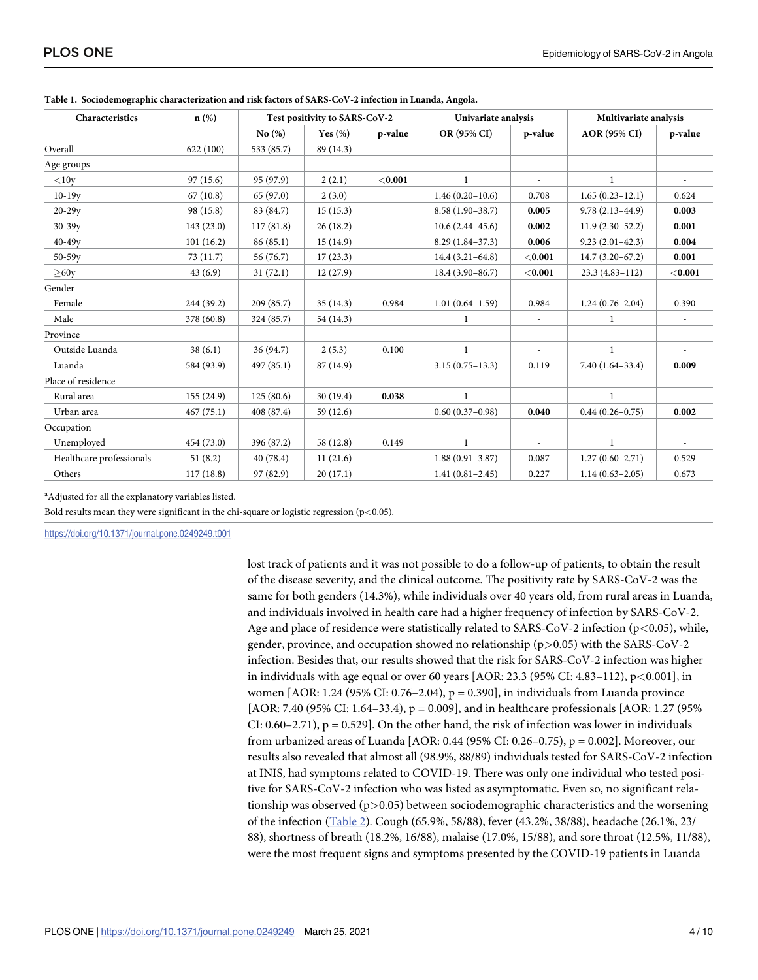| Characteristics          | n(%)       | Test positivity to SARS-CoV-2 |            | Univariate analysis |                     | Multivariate analysis    |                     |                          |
|--------------------------|------------|-------------------------------|------------|---------------------|---------------------|--------------------------|---------------------|--------------------------|
|                          |            | No(%)                         | Yes $(\%)$ | p-value             | OR (95% CI)         | p-value                  | <b>AOR (95% CI)</b> | p-value                  |
| Overall                  | 622(100)   | 533 (85.7)                    | 89 (14.3)  |                     |                     |                          |                     |                          |
| Age groups               |            |                               |            |                     |                     |                          |                     |                          |
| $<$ 10y                  | 97(15.6)   | 95 (97.9)                     | 2(2.1)     | $<$ 0.001           | $\mathbf{1}$        | $\overline{\phantom{a}}$ | $\mathbf{1}$        |                          |
| $10-19y$                 | 67(10.8)   | 65 (97.0)                     | 2(3.0)     |                     | $1.46(0.20-10.6)$   | 0.708                    | $1.65(0.23-12.1)$   | 0.624                    |
| $20-29y$                 | 98 (15.8)  | 83 (84.7)                     | 15(15.3)   |                     | $8.58(1.90-38.7)$   | 0.005                    | $9.78(2.13 - 44.9)$ | 0.003                    |
| $30-39y$                 | 143 (23.0) | 117(81.8)                     | 26(18.2)   |                     | $10.6(2.44 - 45.6)$ | 0.002                    | $11.9(2.30-52.2)$   | 0.001                    |
| $40-49y$                 | 101(16.2)  | 86(85.1)                      | 15(14.9)   |                     | $8.29(1.84-37.3)$   | 0.006                    | $9.23(2.01-42.3)$   | 0.004                    |
| $50 - 59y$               | 73(11.7)   | 56 (76.7)                     | 17(23.3)   |                     | $14.4(3.21-64.8)$   | < 0.001                  | $14.7(3.20-67.2)$   | 0.001                    |
| >60y                     | 43(6.9)    | 31(72.1)                      | 12(27.9)   |                     | $18.4(3.90 - 86.7)$ | < 0.001                  | $23.3(4.83 - 112)$  | < 0.001                  |
| Gender                   |            |                               |            |                     |                     |                          |                     |                          |
| Female                   | 244 (39.2) | 209 (85.7)                    | 35(14.3)   | 0.984               | $1.01(0.64 - 1.59)$ | 0.984                    | $1.24(0.76-2.04)$   | 0.390                    |
| Male                     | 378 (60.8) | 324 (85.7)                    | 54 (14.3)  |                     | $\mathbf{1}$        |                          | $\mathbf{1}$        |                          |
| Province                 |            |                               |            |                     |                     |                          |                     |                          |
| Outside Luanda           | 38(6.1)    | 36 (94.7)                     | 2(5.3)     | 0.100               | $\mathbf{1}$        |                          | $\mathbf{1}$        |                          |
| Luanda                   | 584 (93.9) | 497 (85.1)                    | 87 (14.9)  |                     | $3.15(0.75 - 13.3)$ | 0.119                    | $7.40(1.64-33.4)$   | 0.009                    |
| Place of residence       |            |                               |            |                     |                     |                          |                     |                          |
| Rural area               | 155(24.9)  | 125(80.6)                     | 30(19.4)   | 0.038               | $\mathbf{1}$        | $\overline{\phantom{a}}$ | $\mathbf{1}$        | $\overline{\phantom{a}}$ |
| Urban area               | 467(75.1)  | 408 (87.4)                    | 59 (12.6)  |                     | $0.60(0.37-0.98)$   | 0.040                    | $0.44(0.26 - 0.75)$ | 0.002                    |
| Occupation               |            |                               |            |                     |                     |                          |                     |                          |
| Unemployed               | 454 (73.0) | 396 (87.2)                    | 58 (12.8)  | 0.149               | $\mathbf{1}$        | $\overline{a}$           | $\mathbf{1}$        | $\sim$                   |
| Healthcare professionals | 51(8.2)    | 40 (78.4)                     | 11(21.6)   |                     | $1.88(0.91 - 3.87)$ | 0.087                    | $1.27(0.60-2.71)$   | 0.529                    |
| Others                   | 117(18.8)  | 97 (82.9)                     | 20(17.1)   |                     | $1.41(0.81 - 2.45)$ | 0.227                    | $1.14(0.63 - 2.05)$ | 0.673                    |

<span id="page-3-0"></span>**[Table](#page-2-0) 1. Sociodemographic characterization and risk factors of SARS-CoV-2 infection in Luanda, Angola.**

<sup>a</sup>Adjusted for all the explanatory variables listed.

Bold results mean they were significant in the chi-square or logistic regression (p*<*0.05).

<https://doi.org/10.1371/journal.pone.0249249.t001>

lost track of patients and it was not possible to do a follow-up of patients, to obtain the result of the disease severity, and the clinical outcome. The positivity rate by SARS-CoV-2 was the same for both genders (14.3%), while individuals over 40 years old, from rural areas in Luanda, and individuals involved in health care had a higher frequency of infection by SARS-CoV-2. Age and place of residence were statistically related to SARS-CoV-2 infection (p*<*0.05), while, gender, province, and occupation showed no relationship (p*>*0.05) with the SARS-CoV-2 infection. Besides that, our results showed that the risk for SARS-CoV-2 infection was higher in individuals with age equal or over 60 years [AOR: 23.3 (95% CI: 4.83–112), p*<*0.001], in women [AOR: 1.24 (95% CI: 0.76–2.04),  $p = 0.390$ ], in individuals from Luanda province [AOR: 7.40 (95% CI: 1.64–33.4), p = 0.009], and in healthcare professionals [AOR: 1.27 (95%) CI:  $0.60-2.71$ ,  $p = 0.529$ . On the other hand, the risk of infection was lower in individuals from urbanized areas of Luanda [AOR: 0.44 (95% CI: 0.26–0.75), p = 0.002]. Moreover, our results also revealed that almost all (98.9%, 88/89) individuals tested for SARS-CoV-2 infection at INIS, had symptoms related to COVID-19. There was only one individual who tested positive for SARS-CoV-2 infection who was listed as asymptomatic. Even so, no significant relationship was observed (p*>*0.05) between sociodemographic characteristics and the worsening of the infection [\(Table](#page-4-0) 2). Cough (65.9%, 58/88), fever (43.2%, 38/88), headache (26.1%, 23/ 88), shortness of breath (18.2%, 16/88), malaise (17.0%, 15/88), and sore throat (12.5%, 11/88), were the most frequent signs and symptoms presented by the COVID-19 patients in Luanda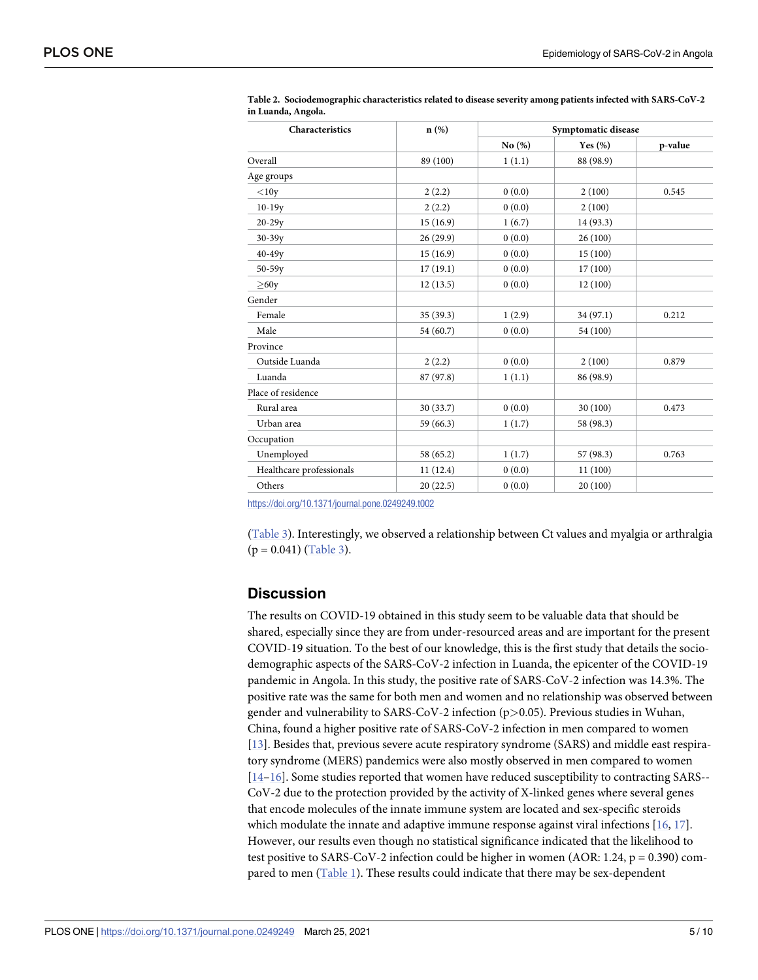| Characteristics          | $n(\%)$   | Symptomatic disease |            |         |  |
|--------------------------|-----------|---------------------|------------|---------|--|
|                          |           | No(%)               | Yes $(\%)$ | p-value |  |
| Overall                  | 89 (100)  | 1(1.1)              | 88 (98.9)  |         |  |
| Age groups               |           |                     |            |         |  |
| $<$ 10y                  | 2(2.2)    | 0(0.0)              | 2(100)     | 0.545   |  |
| $10-19y$                 | 2(2.2)    | 0(0.0)              | 2(100)     |         |  |
| $20 - 29y$               | 15(16.9)  | 1(6.7)              | 14 (93.3)  |         |  |
| $30 - 39y$               | 26 (29.9) | 0(0.0)              | 26(100)    |         |  |
| $40 - 49y$               | 15(16.9)  | 0(0.0)              | 15(100)    |         |  |
| $50 - 59y$               | 17(19.1)  | 0(0.0)              | 17(100)    |         |  |
| >60y                     | 12(13.5)  | 0(0.0)              | 12(100)    |         |  |
| Gender                   |           |                     |            |         |  |
| Female                   | 35 (39.3) | 1(2.9)              | 34 (97.1)  | 0.212   |  |
| Male                     | 54 (60.7) | 0(0.0)              | 54 (100)   |         |  |
| Province                 |           |                     |            |         |  |
| Outside Luanda           | 2(2.2)    | 0(0.0)              | 2(100)     | 0.879   |  |
| Luanda                   | 87 (97.8) | 1(1.1)              | 86 (98.9)  |         |  |
| Place of residence       |           |                     |            |         |  |
| Rural area               | 30 (33.7) | 0(0.0)              | 30 (100)   | 0.473   |  |
| Urban area               | 59 (66.3) | 1(1.7)              | 58 (98.3)  |         |  |
| Occupation               |           |                     |            |         |  |
| Unemployed               | 58 (65.2) | 1(1.7)              | 57 (98.3)  | 0.763   |  |
| Healthcare professionals | 11(12.4)  | 0(0.0)              | 11(100)    |         |  |
| Others                   | 20(22.5)  | 0(0.0)              | 20 (100)   |         |  |

<span id="page-4-0"></span>**[Table](#page-3-0) 2. Sociodemographic characteristics related to disease severity among patients infected with SARS-CoV-2 in Luanda, Angola.**

<https://doi.org/10.1371/journal.pone.0249249.t002>

[\(Table](#page-5-0) 3). Interestingly, we observed a relationship between Ct values and myalgia or arthralgia  $(p = 0.041)$  [\(Table](#page-5-0) 3).

# **Discussion**

The results on COVID-19 obtained in this study seem to be valuable data that should be shared, especially since they are from under-resourced areas and are important for the present COVID-19 situation. To the best of our knowledge, this is the first study that details the sociodemographic aspects of the SARS-CoV-2 infection in Luanda, the epicenter of the COVID-19 pandemic in Angola. In this study, the positive rate of SARS-CoV-2 infection was 14.3%. The positive rate was the same for both men and women and no relationship was observed between gender and vulnerability to SARS-CoV-2 infection (p*>*0.05). Previous studies in Wuhan, China, found a higher positive rate of SARS-CoV-2 infection in men compared to women [\[13\]](#page-9-0). Besides that, previous severe acute respiratory syndrome (SARS) and middle east respiratory syndrome (MERS) pandemics were also mostly observed in men compared to women [\[14–16\]](#page-9-0). Some studies reported that women have reduced susceptibility to contracting SARS-- CoV-2 due to the protection provided by the activity of X-linked genes where several genes that encode molecules of the innate immune system are located and sex-specific steroids which modulate the innate and adaptive immune response against viral infections [\[16,](#page-9-0) [17\]](#page-9-0). However, our results even though no statistical significance indicated that the likelihood to test positive to SARS-CoV-2 infection could be higher in women (AOR: 1.24, p = 0.390) compared to men ([Table](#page-3-0) 1). These results could indicate that there may be sex-dependent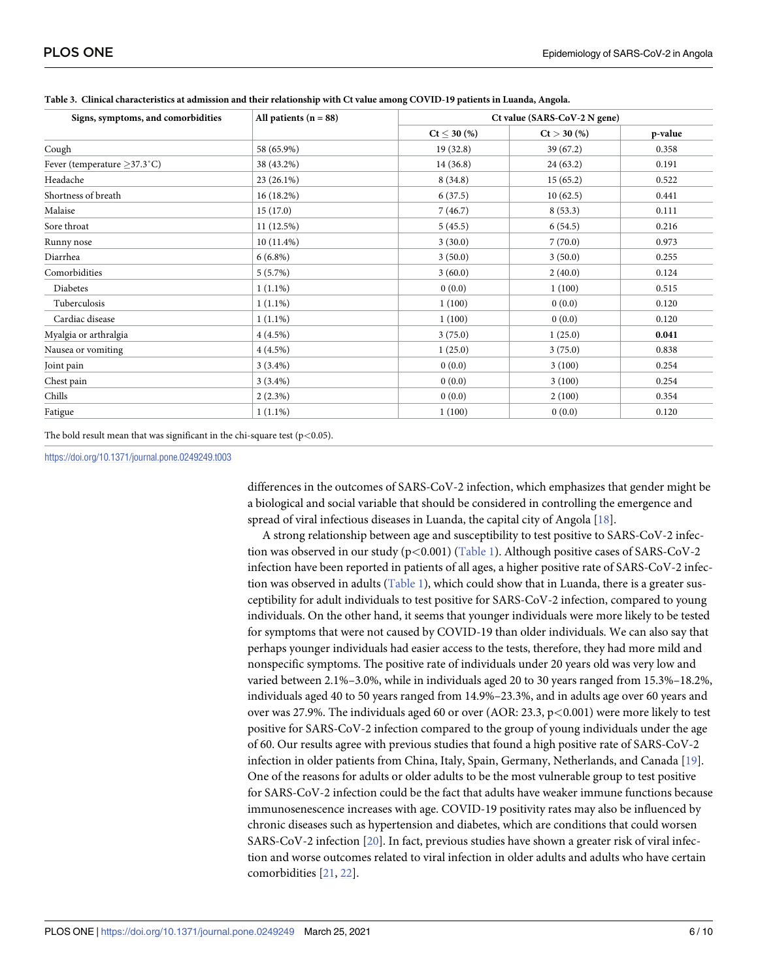| Signs, symptoms, and comorbidities | All patients $(n = 88)$ | Ct value (SARS-CoV-2 N gene) |               |         |  |
|------------------------------------|-------------------------|------------------------------|---------------|---------|--|
|                                    |                         | $Ct < 30$ (%)                | $Ct > 30$ (%) | p-value |  |
| Cough                              | 58 (65.9%)              | 19(32.8)                     | 39(67.2)      | 0.358   |  |
| Fever (temperature $\geq$ 37.3°C)  | 38 (43.2%)              | 14(36.8)                     | 24(63.2)      | 0.191   |  |
| Headache                           | $23(26.1\%)$            | 8(34.8)                      | 15(65.2)      | 0.522   |  |
| Shortness of breath                | 16(18.2%)               | 6(37.5)                      | 10(62.5)      | 0.441   |  |
| Malaise                            | 15(17.0)                | 7(46.7)                      | 8(53.3)       | 0.111   |  |
| Sore throat                        | 11(12.5%)               | 5(45.5)                      | 6(54.5)       | 0.216   |  |
| Runny nose                         | $10(11.4\%)$            | 3(30.0)                      | 7(70.0)       | 0.973   |  |
| Diarrhea                           | $6(6.8\%)$              | 3(50.0)                      | 3(50.0)       | 0.255   |  |
| Comorbidities                      | $5(5.7\%)$              | 3(60.0)                      | 2(40.0)       | 0.124   |  |
| Diabetes                           | $1(1.1\%)$              | 0(0.0)                       | 1(100)        | 0.515   |  |
| Tuberculosis                       | $1(1.1\%)$              | 1(100)                       | 0(0.0)        | 0.120   |  |
| Cardiac disease                    | $1(1.1\%)$              | 1(100)                       | 0(0.0)        | 0.120   |  |
| Myalgia or arthralgia              | $4(4.5\%)$              | 3(75.0)                      | 1(25.0)       | 0.041   |  |
| Nausea or vomiting                 | $4(4.5\%)$              | 1(25.0)                      | 3(75.0)       | 0.838   |  |
| Joint pain                         | $3(3.4\%)$              | 0(0.0)                       | 3(100)        | 0.254   |  |
| Chest pain                         | $3(3.4\%)$              | 0(0.0)                       | 3(100)        | 0.254   |  |
| Chills                             | $2(2.3\%)$              | 0(0.0)                       | 2(100)        | 0.354   |  |
| Fatigue                            | $1(1.1\%)$              | 1(100)                       | 0(0.0)        | 0.120   |  |

<span id="page-5-0"></span>

| Table 3. Clinical characteristics at admission and their relationship with Ct value among COVID-19 patients in Luanda, Angola. |  |  |
|--------------------------------------------------------------------------------------------------------------------------------|--|--|
|--------------------------------------------------------------------------------------------------------------------------------|--|--|

The bold result mean that was significant in the chi-square test (p*<*0.05).

<https://doi.org/10.1371/journal.pone.0249249.t003>

differences in the outcomes of SARS-CoV-2 infection, which emphasizes that gender might be a biological and social variable that should be considered in controlling the emergence and spread of viral infectious diseases in Luanda, the capital city of Angola [[18](#page-9-0)].

A strong relationship between age and susceptibility to test positive to SARS-CoV-2 infection was observed in our study (p*<*0.001) [\(Table](#page-3-0) 1). Although positive cases of SARS-CoV-2 infection have been reported in patients of all ages, a higher positive rate of SARS-CoV-2 infection was observed in adults [\(Table](#page-3-0) 1), which could show that in Luanda, there is a greater susceptibility for adult individuals to test positive for SARS-CoV-2 infection, compared to young individuals. On the other hand, it seems that younger individuals were more likely to be tested for symptoms that were not caused by COVID-19 than older individuals. We can also say that perhaps younger individuals had easier access to the tests, therefore, they had more mild and nonspecific symptoms. The positive rate of individuals under 20 years old was very low and varied between 2.1%–3.0%, while in individuals aged 20 to 30 years ranged from 15.3%–18.2%, individuals aged 40 to 50 years ranged from 14.9%–23.3%, and in adults age over 60 years and over was 27.9%. The individuals aged 60 or over (AOR: 23.3, p*<*0.001) were more likely to test positive for SARS-CoV-2 infection compared to the group of young individuals under the age of 60. Our results agree with previous studies that found a high positive rate of SARS-CoV-2 infection in older patients from China, Italy, Spain, Germany, Netherlands, and Canada [[19](#page-9-0)]. One of the reasons for adults or older adults to be the most vulnerable group to test positive for SARS-CoV-2 infection could be the fact that adults have weaker immune functions because immunosenescence increases with age. COVID-19 positivity rates may also be influenced by chronic diseases such as hypertension and diabetes, which are conditions that could worsen SARS-CoV-2 infection [[20\]](#page-9-0). In fact, previous studies have shown a greater risk of viral infection and worse outcomes related to viral infection in older adults and adults who have certain comorbidities [\[21,](#page-9-0) [22\]](#page-9-0).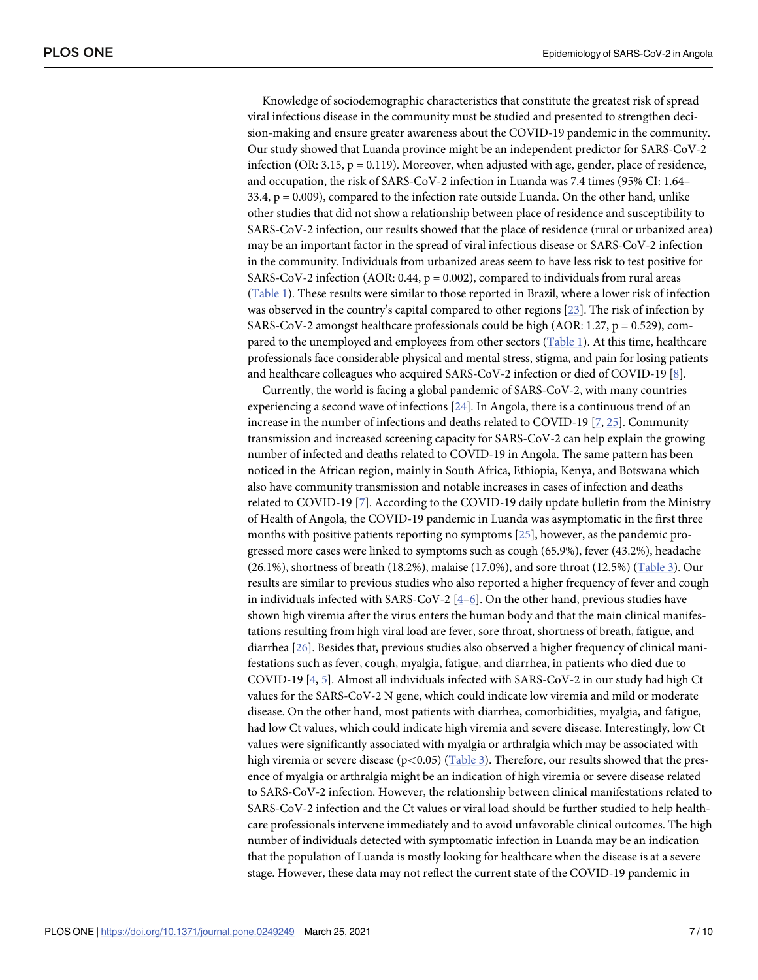<span id="page-6-0"></span>Knowledge of sociodemographic characteristics that constitute the greatest risk of spread viral infectious disease in the community must be studied and presented to strengthen decision-making and ensure greater awareness about the COVID-19 pandemic in the community. Our study showed that Luanda province might be an independent predictor for SARS-CoV-2 infection (OR: 3.15,  $p = 0.119$ ). Moreover, when adjusted with age, gender, place of residence, and occupation, the risk of SARS-CoV-2 infection in Luanda was 7.4 times (95% CI: 1.64–  $33.4$ ,  $p = 0.009$ ), compared to the infection rate outside Luanda. On the other hand, unlike other studies that did not show a relationship between place of residence and susceptibility to SARS-CoV-2 infection, our results showed that the place of residence (rural or urbanized area) may be an important factor in the spread of viral infectious disease or SARS-CoV-2 infection in the community. Individuals from urbanized areas seem to have less risk to test positive for SARS-CoV-2 infection (AOR:  $0.44$ ,  $p = 0.002$ ), compared to individuals from rural areas [\(Table](#page-3-0) 1). These results were similar to those reported in Brazil, where a lower risk of infection was observed in the country's capital compared to other regions [[23](#page-9-0)]. The risk of infection by SARS-CoV-2 amongst healthcare professionals could be high (AOR: 1.27,  $p = 0.529$ ), compared to the unemployed and employees from other sectors ([Table](#page-3-0) 1). At this time, healthcare professionals face considerable physical and mental stress, stigma, and pain for losing patients and healthcare colleagues who acquired SARS-CoV-2 infection or died of COVID-19 [\[8\]](#page-8-0).

Currently, the world is facing a global pandemic of SARS-CoV-2, with many countries experiencing a second wave of infections [[24](#page-9-0)]. In Angola, there is a continuous trend of an increase in the number of infections and deaths related to COVID-19 [\[7,](#page-8-0) [25\]](#page-9-0). Community transmission and increased screening capacity for SARS-CoV-2 can help explain the growing number of infected and deaths related to COVID-19 in Angola. The same pattern has been noticed in the African region, mainly in South Africa, Ethiopia, Kenya, and Botswana which also have community transmission and notable increases in cases of infection and deaths related to COVID-19 [\[7\]](#page-8-0). According to the COVID-19 daily update bulletin from the Ministry of Health of Angola, the COVID-19 pandemic in Luanda was asymptomatic in the first three months with positive patients reporting no symptoms [\[25\]](#page-9-0), however, as the pandemic progressed more cases were linked to symptoms such as cough (65.9%), fever (43.2%), headache  $(26.1\%)$ , shortness of breath  $(18.2\%)$ , malaise  $(17.0\%)$ , and sore throat  $(12.5\%)$  [\(Table](#page-5-0) 3). Our results are similar to previous studies who also reported a higher frequency of fever and cough in individuals infected with SARS-CoV-2  $[4-6]$  $[4-6]$  $[4-6]$  $[4-6]$  $[4-6]$ . On the other hand, previous studies have shown high viremia after the virus enters the human body and that the main clinical manifestations resulting from high viral load are fever, sore throat, shortness of breath, fatigue, and diarrhea [\[26\]](#page-9-0). Besides that, previous studies also observed a higher frequency of clinical manifestations such as fever, cough, myalgia, fatigue, and diarrhea, in patients who died due to COVID-19 [\[4](#page-8-0), [5](#page-8-0)]. Almost all individuals infected with SARS-CoV-2 in our study had high Ct values for the SARS-CoV-2 N gene, which could indicate low viremia and mild or moderate disease. On the other hand, most patients with diarrhea, comorbidities, myalgia, and fatigue, had low Ct values, which could indicate high viremia and severe disease. Interestingly, low Ct values were significantly associated with myalgia or arthralgia which may be associated with high viremia or severe disease (p*<*0.05) [\(Table](#page-5-0) 3). Therefore, our results showed that the presence of myalgia or arthralgia might be an indication of high viremia or severe disease related to SARS-CoV-2 infection. However, the relationship between clinical manifestations related to SARS-CoV-2 infection and the Ct values or viral load should be further studied to help healthcare professionals intervene immediately and to avoid unfavorable clinical outcomes. The high number of individuals detected with symptomatic infection in Luanda may be an indication that the population of Luanda is mostly looking for healthcare when the disease is at a severe stage. However, these data may not reflect the current state of the COVID-19 pandemic in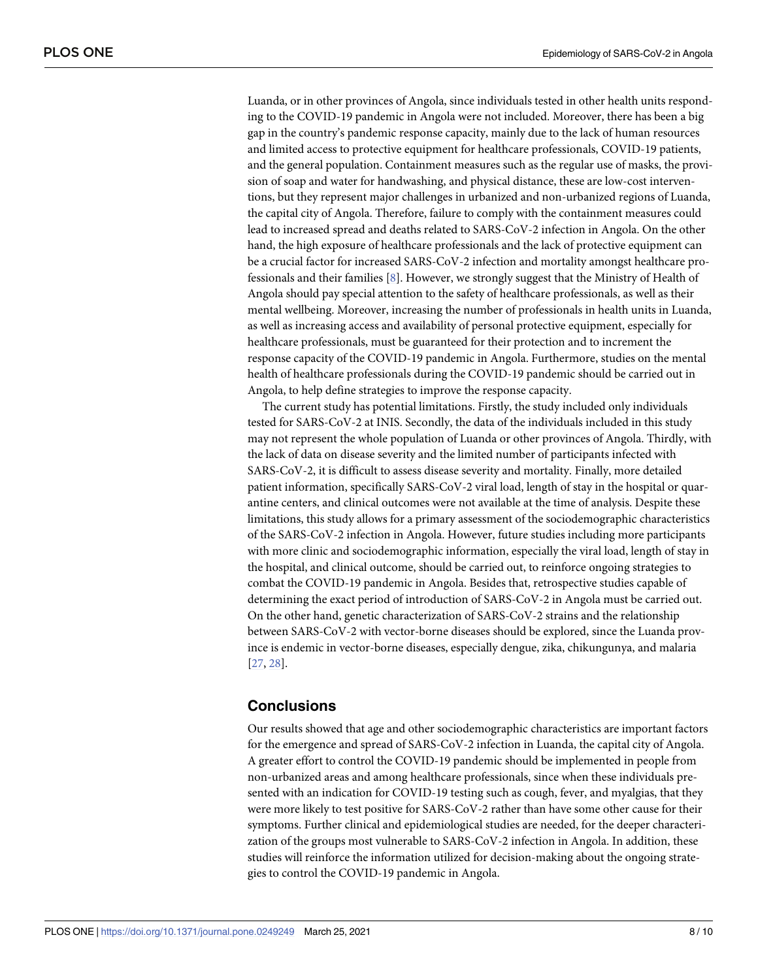<span id="page-7-0"></span>Luanda, or in other provinces of Angola, since individuals tested in other health units responding to the COVID-19 pandemic in Angola were not included. Moreover, there has been a big gap in the country's pandemic response capacity, mainly due to the lack of human resources and limited access to protective equipment for healthcare professionals, COVID-19 patients, and the general population. Containment measures such as the regular use of masks, the provision of soap and water for handwashing, and physical distance, these are low-cost interventions, but they represent major challenges in urbanized and non-urbanized regions of Luanda, the capital city of Angola. Therefore, failure to comply with the containment measures could lead to increased spread and deaths related to SARS-CoV-2 infection in Angola. On the other hand, the high exposure of healthcare professionals and the lack of protective equipment can be a crucial factor for increased SARS-CoV-2 infection and mortality amongst healthcare professionals and their families [\[8\]](#page-8-0). However, we strongly suggest that the Ministry of Health of Angola should pay special attention to the safety of healthcare professionals, as well as their mental wellbeing. Moreover, increasing the number of professionals in health units in Luanda, as well as increasing access and availability of personal protective equipment, especially for healthcare professionals, must be guaranteed for their protection and to increment the response capacity of the COVID-19 pandemic in Angola. Furthermore, studies on the mental health of healthcare professionals during the COVID-19 pandemic should be carried out in Angola, to help define strategies to improve the response capacity.

The current study has potential limitations. Firstly, the study included only individuals tested for SARS-CoV-2 at INIS. Secondly, the data of the individuals included in this study may not represent the whole population of Luanda or other provinces of Angola. Thirdly, with the lack of data on disease severity and the limited number of participants infected with SARS-CoV-2, it is difficult to assess disease severity and mortality. Finally, more detailed patient information, specifically SARS-CoV-2 viral load, length of stay in the hospital or quarantine centers, and clinical outcomes were not available at the time of analysis. Despite these limitations, this study allows for a primary assessment of the sociodemographic characteristics of the SARS-CoV-2 infection in Angola. However, future studies including more participants with more clinic and sociodemographic information, especially the viral load, length of stay in the hospital, and clinical outcome, should be carried out, to reinforce ongoing strategies to combat the COVID-19 pandemic in Angola. Besides that, retrospective studies capable of determining the exact period of introduction of SARS-CoV-2 in Angola must be carried out. On the other hand, genetic characterization of SARS-CoV-2 strains and the relationship between SARS-CoV-2 with vector-borne diseases should be explored, since the Luanda province is endemic in vector-borne diseases, especially dengue, zika, chikungunya, and malaria [\[27,](#page-9-0) [28\]](#page-9-0).

# **Conclusions**

Our results showed that age and other sociodemographic characteristics are important factors for the emergence and spread of SARS-CoV-2 infection in Luanda, the capital city of Angola. A greater effort to control the COVID-19 pandemic should be implemented in people from non-urbanized areas and among healthcare professionals, since when these individuals presented with an indication for COVID-19 testing such as cough, fever, and myalgias, that they were more likely to test positive for SARS-CoV-2 rather than have some other cause for their symptoms. Further clinical and epidemiological studies are needed, for the deeper characterization of the groups most vulnerable to SARS-CoV-2 infection in Angola. In addition, these studies will reinforce the information utilized for decision-making about the ongoing strategies to control the COVID-19 pandemic in Angola.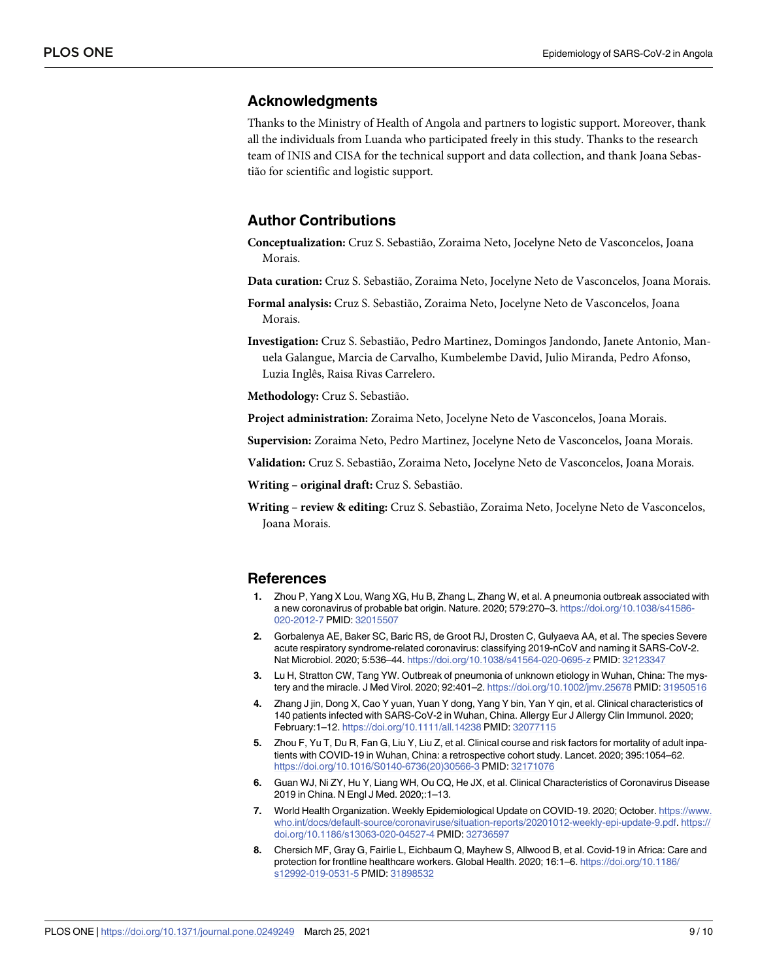# <span id="page-8-0"></span>**Acknowledgments**

Thanks to the Ministry of Health of Angola and partners to logistic support. Moreover, thank all the individuals from Luanda who participated freely in this study. Thanks to the research team of INIS and CISA for the technical support and data collection, and thank Joana Sebastião for scientific and logistic support.

# **Author Contributions**

- **Conceptualization:** Cruz S. Sebastião, Zoraima Neto, Jocelyne Neto de Vasconcelos, Joana Morais.
- **Data curation:** Cruz S. Sebastião, Zoraima Neto, Jocelyne Neto de Vasconcelos, Joana Morais.
- **Formal analysis:** Cruz S. Sebastião, Zoraima Neto, Jocelyne Neto de Vasconcelos, Joana Morais.

**Investigation:** Cruz S. Sebastião, Pedro Martinez, Domingos Jandondo, Janete Antonio, Manuela Galangue, Marcia de Carvalho, Kumbelembe David, Julio Miranda, Pedro Afonso, Luzia Inglês, Raisa Rivas Carrelero.

**Methodology:** Cruz S. Sebastião.

**Project administration:** Zoraima Neto, Jocelyne Neto de Vasconcelos, Joana Morais.

**Supervision:** Zoraima Neto, Pedro Martinez, Jocelyne Neto de Vasconcelos, Joana Morais.

**Validation:** Cruz S. Sebastião, Zoraima Neto, Jocelyne Neto de Vasconcelos, Joana Morais.

**Writing – original draft:** Cruz S. Sebastião.

**Writing – review & editing:** Cruz S. Sebastião, Zoraima Neto, Jocelyne Neto de Vasconcelos, Joana Morais.

#### **References**

- **[1](#page-0-0).** Zhou P, Yang X Lou, Wang XG, Hu B, Zhang L, Zhang W, et al. A pneumonia outbreak associated with a new coronavirus of probable bat origin. Nature. 2020; 579:270–3. [https://doi.org/10.1038/s41586-](https://doi.org/10.1038/s41586-020-2012-7) [020-2012-7](https://doi.org/10.1038/s41586-020-2012-7) PMID: [32015507](http://www.ncbi.nlm.nih.gov/pubmed/32015507)
- **[2](#page-0-0).** Gorbalenya AE, Baker SC, Baric RS, de Groot RJ, Drosten C, Gulyaeva AA, et al. The species Severe acute respiratory syndrome-related coronavirus: classifying 2019-nCoV and naming it SARS-CoV-2. Nat Microbiol. 2020; 5:536–44. <https://doi.org/10.1038/s41564-020-0695-z> PMID: [32123347](http://www.ncbi.nlm.nih.gov/pubmed/32123347)
- **[3](#page-0-0).** Lu H, Stratton CW, Tang YW. Outbreak of pneumonia of unknown etiology in Wuhan, China: The mystery and the miracle. J Med Virol. 2020; 92:401–2. <https://doi.org/10.1002/jmv.25678> PMID: [31950516](http://www.ncbi.nlm.nih.gov/pubmed/31950516)
- **[4](#page-0-0).** Zhang J jin, Dong X, Cao Y yuan, Yuan Y dong, Yang Y bin, Yan Y qin, et al. Clinical characteristics of 140 patients infected with SARS-CoV-2 in Wuhan, China. Allergy Eur J Allergy Clin Immunol. 2020; February:1–12. <https://doi.org/10.1111/all.14238> PMID: [32077115](http://www.ncbi.nlm.nih.gov/pubmed/32077115)
- **[5](#page-6-0).** Zhou F, Yu T, Du R, Fan G, Liu Y, Liu Z, et al. Clinical course and risk factors for mortality of adult inpatients with COVID-19 in Wuhan, China: a retrospective cohort study. Lancet. 2020; 395:1054–62. [https://doi.org/10.1016/S0140-6736\(20\)30566-3](https://doi.org/10.1016/S0140-6736%2820%2930566-3) PMID: [32171076](http://www.ncbi.nlm.nih.gov/pubmed/32171076)
- **[6](#page-0-0).** Guan WJ, Ni ZY, Hu Y, Liang WH, Ou CQ, He JX, et al. Clinical Characteristics of Coronavirus Disease 2019 in China. N Engl J Med. 2020;:1–13.
- **[7](#page-0-0).** World Health Organization. Weekly Epidemiological Update on COVID-19. 2020; October. [https://www.](https://www.who.int/docs/default-source/coronaviruse/situation-reports/20201012-weekly-epi-update-9.pdf) [who.int/docs/default-source/coronaviruse/situation-reports/20201012-weekly-epi-update-9.pdf](https://www.who.int/docs/default-source/coronaviruse/situation-reports/20201012-weekly-epi-update-9.pdf). [https://](https://doi.org/10.1186/s13063-020-04527-4) [doi.org/10.1186/s13063-020-04527-4](https://doi.org/10.1186/s13063-020-04527-4) PMID: [32736597](http://www.ncbi.nlm.nih.gov/pubmed/32736597)
- **[8](#page-0-0).** Chersich MF, Gray G, Fairlie L, Eichbaum Q, Mayhew S, Allwood B, et al. Covid-19 in Africa: Care and protection for frontline healthcare workers. Global Health. 2020; 16:1–6. [https://doi.org/10.1186/](https://doi.org/10.1186/s12992-019-0531-5) [s12992-019-0531-5](https://doi.org/10.1186/s12992-019-0531-5) PMID: [31898532](http://www.ncbi.nlm.nih.gov/pubmed/31898532)